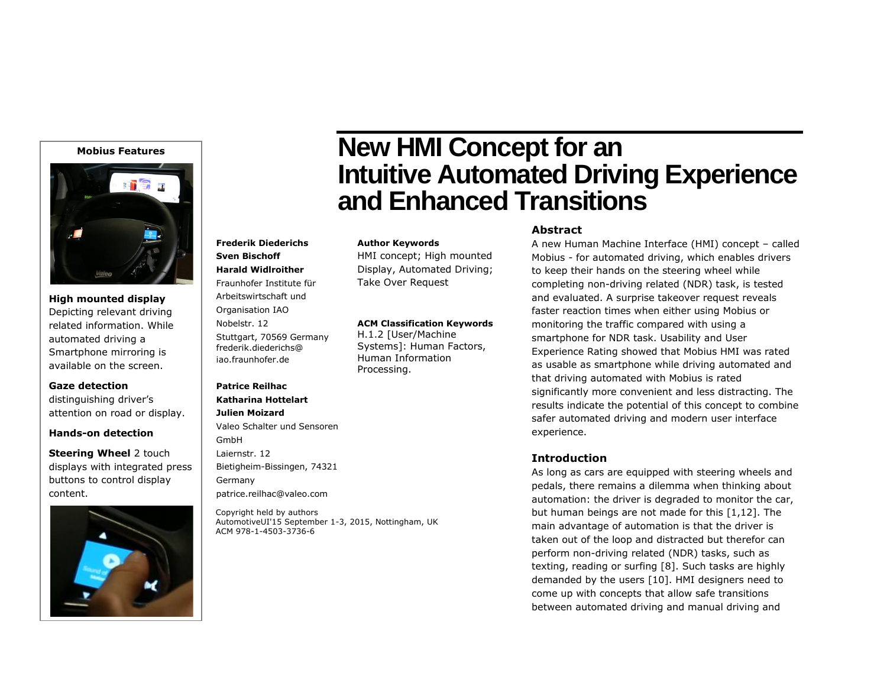#### **Mobius Features**



**High mounted display** Depicting relevant driving related information. While automated driving a Smartphone mirroring is available on the screen.

**Gaze detection** distinguishing driver's attention on road or display.

#### **Hands-on detection**

**Steering Wheel** 2 touch displays with integrated press buttons to control display content.

Copyright held by authors

patrice.reilhac@valeo.com

**Frederik Diederichs Sven Bischoff Harald Widlroither** Fraunhofer Institute für Arbeitswirtschaft und Organisation IAO Nobelstr. 12

Stuttgart, 70569 Germany frederik.diederichs@ iao.fraunhofer.de

Valeo Schalter und Sensoren

Bietigheim-Bissingen, 74321

**Patrice Reilhac Katharina Hottelart Julien Moizard**

GmbH Laiernstr. 12

Germany

ACM 978-1-4503-3736-6

AutomotiveUI'15 September 1-3, 2015, Nottingham, UK



# **New HMI Concept for an Intuitive Automated Driving Experience and Enhanced Transitions**

#### **Author Keywords**

HMI concept; High mounted Display, Automated Driving; Take Over Request

#### **ACM Classification Keywords**

H.1.2 [User/Machine Systems]: Human Factors, Human Information Processing.

## **Abstract**

A new Human Machine Interface (HMI) concept – called Mobius - for automated driving, which enables drivers to keep their hands on the steering wheel while completing non-driving related (NDR) task, is tested and evaluated. A surprise takeover request reveals faster reaction times when either using Mobius or monitoring the traffic compared with using a smartphone for NDR task. Usability and User Experience Rating showed that Mobius HMI was rated as usable as smartphone while driving automated and that driving automated with Mobius is rated significantly more convenient and less distracting. The results indicate the potential of this concept to combine safer automated driving and modern user interface experience.

#### **Introduction**

As long as cars are equipped with steering wheels and pedals, there remains a dilemma when thinking about automation: the driver is degraded to monitor the car, but human beings are not made for this [1,12]. The main advantage of automation is that the driver is taken out of the loop and distracted but therefor can perform non-driving related (NDR) tasks, such as texting, reading or surfing [8]. Such tasks are highly demanded by the users [10]. HMI designers need to come up with concepts that allow safe transitions between automated driving and manual driving and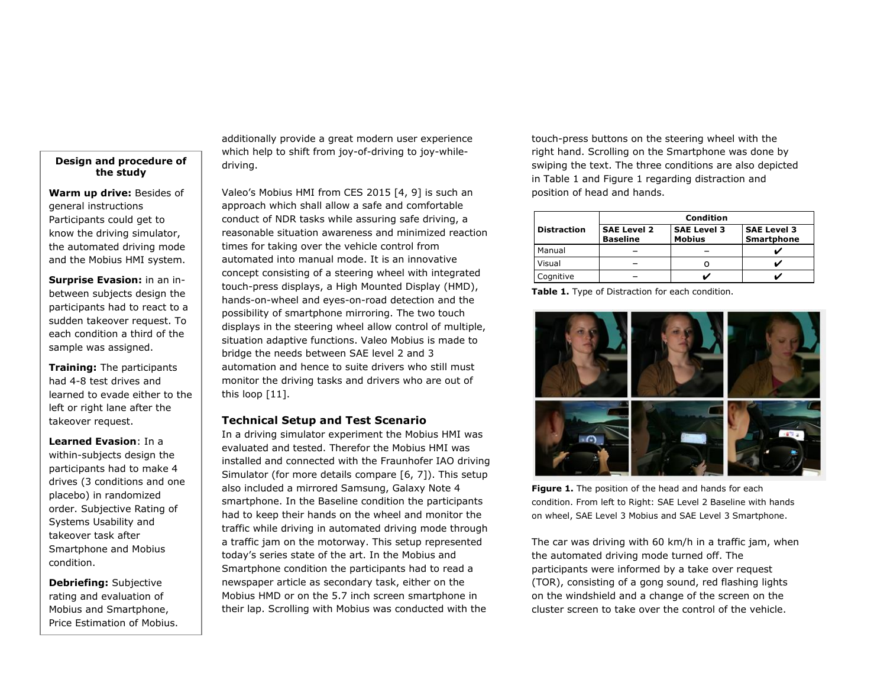#### **Design and procedure of the study**

**Warm up drive:** Besides of general instructions Participants could get to know the driving simulator, the automated driving mode and the Mobius HMI system.

**Surprise Evasion:** in an inbetween subjects design the participants had to react to a sudden takeover request. To each condition a third of the sample was assigned.

**Training:** The participants had 4-8 test drives and learned to evade either to the left or right lane after the takeover request.

**Learned Evasion**: In a within-subjects design the participants had to make 4 drives (3 conditions and one placebo) in randomized order. Subjective Rating of Systems Usability and takeover task after Smartphone and Mobius condition.

**Debriefing:** Subjective rating and evaluation of Mobius and Smartphone, Price Estimation of Mobius. additionally provide a great modern user experience which help to shift from joy-of-driving to joy-whiledriving.

Valeo's Mobius HMI from CES 2015 [4, 9] is such an approach which shall allow a safe and comfortable conduct of NDR tasks while assuring safe driving, a reasonable situation awareness and minimized reaction times for taking over the vehicle control from automated into manual mode. It is an innovative concept consisting of a steering wheel with integrated touch-press displays, a High Mounted Display (HMD), hands-on-wheel and eyes-on-road detection and the possibility of smartphone mirroring. The two touch displays in the steering wheel allow control of multiple, situation adaptive functions. Valeo Mobius is made to bridge the needs between SAE level 2 and 3 automation and hence to suite drivers who still must monitor the driving tasks and drivers who are out of this loop [11].

#### **Technical Setup and Test Scenario**

In a driving simulator experiment the Mobius HMI was evaluated and tested. Therefor the Mobius HMI was installed and connected with the Fraunhofer IAO driving Simulator (for more details compare [6, 7]). This setup also included a mirrored Samsung, Galaxy Note 4 smartphone. In the Baseline condition the participants had to keep their hands on the wheel and monitor the traffic while driving in automated driving mode through a traffic jam on the motorway. This setup represented today's series state of the art. In the Mobius and Smartphone condition the participants had to read a newspaper article as secondary task, either on the Mobius HMD or on the 5.7 inch screen smartphone in their lap. Scrolling with Mobius was conducted with the

touch-press buttons on the steering wheel with the right hand. Scrolling on the Smartphone was done by swiping the text. The three conditions are also depicted in Table 1 and Figure 1 regarding distraction and position of head and hands.

|                    | Condition                             |                                     |                                         |
|--------------------|---------------------------------------|-------------------------------------|-----------------------------------------|
| <b>Distraction</b> | <b>SAE Level 2</b><br><b>Baseline</b> | <b>SAE Level 3</b><br><b>Mobius</b> | <b>SAE Level 3</b><br><b>Smartphone</b> |
| Manual             |                                       |                                     |                                         |
| Visual             |                                       |                                     |                                         |
| Cognitive          |                                       |                                     |                                         |

**Table 1.** Type of Distraction for each condition.



**Figure 1.** The position of the head and hands for each condition. From left to Right: SAE Level 2 Baseline with hands on wheel, SAE Level 3 Mobius and SAE Level 3 Smartphone.

The car was driving with 60 km/h in a traffic jam, when the automated driving mode turned off. The participants were informed by a take over request (TOR), consisting of a gong sound, red flashing lights on the windshield and a change of the screen on the cluster screen to take over the control of the vehicle.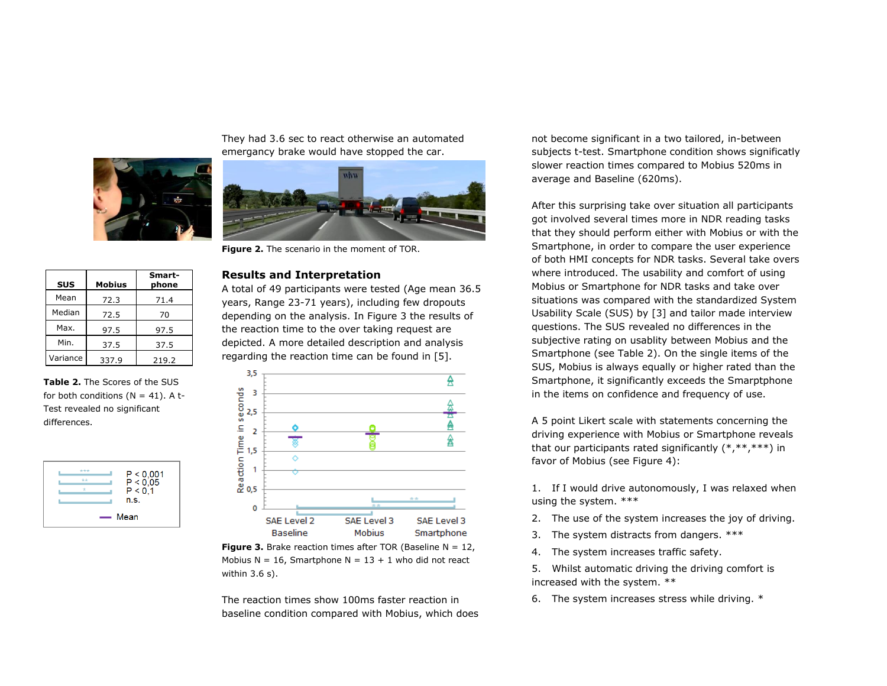

They had 3.6 sec to react otherwise an automated emergancy brake would have stopped the car.



**Figure 2.** The scenario in the moment of TOR.

#### **Results and Interpretation**

A total of 49 participants were tested (Age mean 36.5 years, Range 23-71 years), including few dropouts depending on the analysis. In Figure 3 the results of the reaction time to the over taking request are depicted. A more detailed description and analysis regarding the reaction time can be found in [5].



**Figure 3.** Brake reaction times after TOR (Baseline  $N = 12$ , Mobius N = 16, Smartphone N =  $13 + 1$  who did not react within 3.6 s).

The reaction times show 100ms faster reaction in baseline condition compared with Mobius, which does not become significant in a two tailored, in-between subjects t-test. Smartphone condition shows significatly slower reaction times compared to Mobius 520ms in average and Baseline (620ms).

After this surprising take over situation all participants got involved several times more in NDR reading tasks that they should perform either with Mobius or with the Smartphone, in order to compare the user experience of both HMI concepts for NDR tasks. Several take overs where introduced. The usability and comfort of using Mobius or Smartphone for NDR tasks and take over situations was compared with the standardized System Usability Scale (SUS) by [3] and tailor made interview questions. The SUS revealed no differences in the subjective rating on usablity between Mobius and the Smartphone (see Table 2). On the single items of the SUS, Mobius is always equally or higher rated than the Smartphone, it significantly exceeds the Smarptphone in the items on confidence and frequency of use.

A 5 point Likert scale with statements concerning the driving experience with Mobius or Smartphone reveals that our participants rated significantly (\*,\*\*,\*\*\*) in favor of Mobius (see Figure 4):

1. If I would drive autonomously, I was relaxed when using the system. \*\*\*

- 2. The use of the system increases the joy of driving.
- 3. The system distracts from dangers. \*\*\*
- 4. The system increases traffic safety.

5. Whilst automatic driving the driving comfort is increased with the system. \*\*

6. The system increases stress while driving. \*

**SUS Mobius Smartphone** Mean 72.3 71.4 Median 72.5 70 Max. 97.5 97.5 Min. 37.5 37.5 Variance 337.9 219.2

**Table 2.** The Scores of the SUS for both conditions ( $N = 41$ ). A t-Test revealed no significant differences.

| $***$ |                           |
|-------|---------------------------|
| $+ +$ | $P < 0,001$<br>$P < 0,05$ |
| ÷     | P < 0.1                   |
|       | n.s.                      |
|       |                           |
|       | — Mean                    |
|       |                           |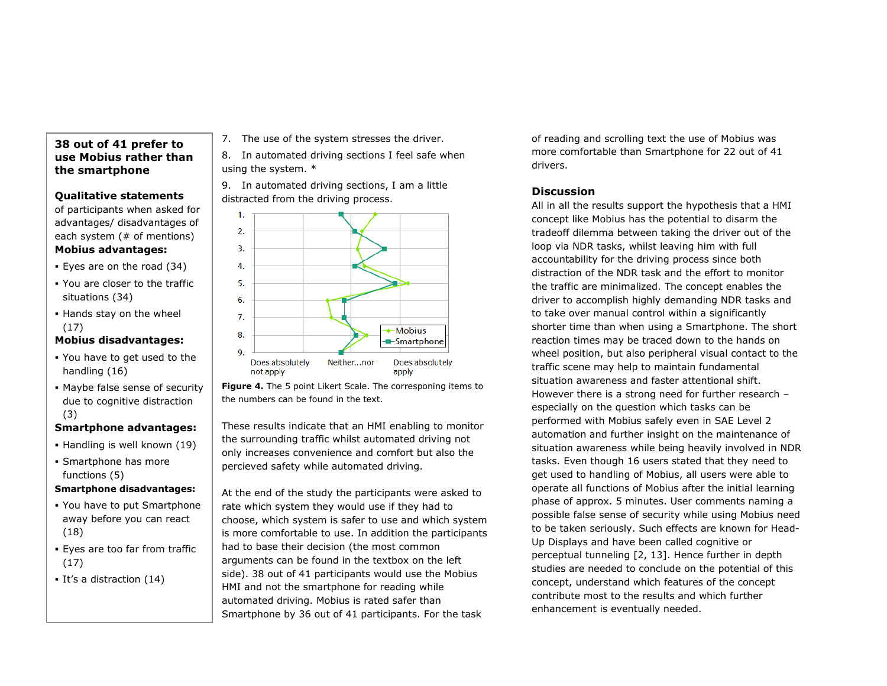## **38 out of 41 prefer to use Mobius rather than the smartphone**

## **Qualitative statements**

of participants when asked for advantages/ disadvantages of each system (# of mentions)

## **Mobius advantages:**

- Eyes are on the road (34)
- You are closer to the traffic situations (34)
- Hands stay on the wheel (17)

## **Mobius disadvantages:**

- You have to get used to the handling (16)
- Maybe false sense of security due to cognitive distraction (3)

## **Smartphone advantages:**

- Handling is well known (19)
- Smartphone has more functions (5)

## **Smartphone disadvantages:**

- You have to put Smartphone away before you can react (18)
- Eyes are too far from traffic (17)
- It's a distraction (14)

7. The use of the system stresses the driver.

8. In automated driving sections I feel safe when using the system. \*

9. In automated driving sections, I am a little distracted from the driving process.



**Figure 4.** The 5 point Likert Scale. The corresponing items to the numbers can be found in the text.

These results indicate that an HMI enabling to monitor the surrounding traffic whilst automated driving not only increases convenience and comfort but also the percieved safety while automated driving.

At the end of the study the participants were asked to rate which system they would use if they had to choose, which system is safer to use and which system is more comfortable to use. In addition the participants had to base their decision (the most common arguments can be found in the textbox on the left side). 38 out of 41 participants would use the Mobius HMI and not the smartphone for reading while automated driving. Mobius is rated safer than Smartphone by 36 out of 41 participants. For the task

of reading and scrolling text the use of Mobius was more comfortable than Smartphone for 22 out of 41 drivers.

## **Discussion**

All in all the results support the hypothesis that a HMI concept like Mobius has the potential to disarm the tradeoff dilemma between taking the driver out of the loop via NDR tasks, whilst leaving him with full accountability for the driving process since both distraction of the NDR task and the effort to monitor the traffic are minimalized. The concept enables the driver to accomplish highly demanding NDR tasks and to take over manual control within a significantly shorter time than when using a Smartphone. The short reaction times may be traced down to the hands on wheel position, but also peripheral visual contact to the traffic scene may help to maintain fundamental situation awareness and faster attentional shift. However there is a strong need for further research – especially on the question which tasks can be performed with Mobius safely even in SAE Level 2 automation and further insight on the maintenance of situation awareness while being heavily involved in NDR tasks. Even though 16 users stated that they need to get used to handling of Mobius, all users were able to operate all functions of Mobius after the initial learning phase of approx. 5 minutes. User comments naming a possible false sense of security while using Mobius need to be taken seriously. Such effects are known for Head-Up Displays and have been called cognitive or perceptual tunneling [2, 13]. Hence further in depth studies are needed to conclude on the potential of this concept, understand which features of the concept contribute most to the results and which further enhancement is eventually needed.